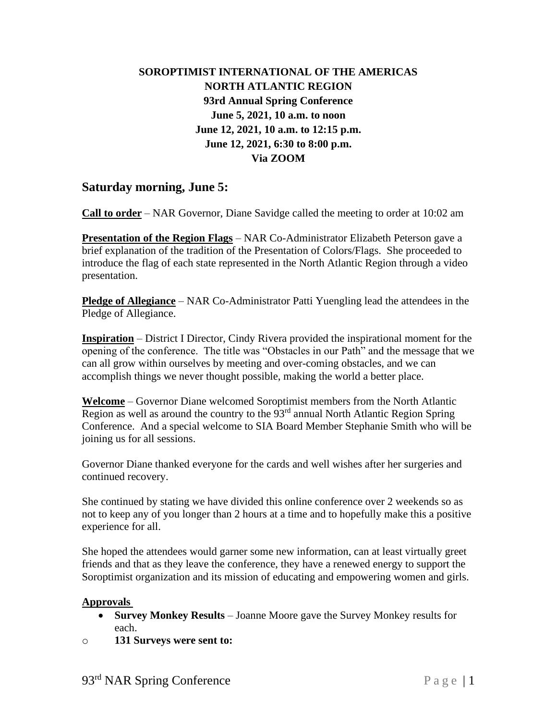## **SOROPTIMIST INTERNATIONAL OF THE AMERICAS NORTH ATLANTIC REGION 93rd Annual Spring Conference June 5, 2021, 10 a.m. to noon June 12, 2021, 10 a.m. to 12:15 p.m. June 12, 2021, 6:30 to 8:00 p.m. Via ZOOM**

## **Saturday morning, June 5:**

**Call to order** – NAR Governor, Diane Savidge called the meeting to order at 10:02 am

**Presentation of the Region Flags** – NAR Co-Administrator Elizabeth Peterson gave a brief explanation of the tradition of the Presentation of Colors/Flags. She proceeded to introduce the flag of each state represented in the North Atlantic Region through a video presentation.

**Pledge of Allegiance** – NAR Co-Administrator Patti Yuengling lead the attendees in the Pledge of Allegiance.

**Inspiration** – District I Director, Cindy Rivera provided the inspirational moment for the opening of the conference. The title was "Obstacles in our Path" and the message that we can all grow within ourselves by meeting and over-coming obstacles, and we can accomplish things we never thought possible, making the world a better place.

**Welcome** – Governor Diane welcomed Soroptimist members from the North Atlantic Region as well as around the country to the  $93<sup>rd</sup>$  annual North Atlantic Region Spring Conference. And a special welcome to SIA Board Member Stephanie Smith who will be joining us for all sessions.

Governor Diane thanked everyone for the cards and well wishes after her surgeries and continued recovery.

She continued by stating we have divided this online conference over 2 weekends so as not to keep any of you longer than 2 hours at a time and to hopefully make this a positive experience for all.

She hoped the attendees would garner some new information, can at least virtually greet friends and that as they leave the conference, they have a renewed energy to support the Soroptimist organization and its mission of educating and empowering women and girls.

### **Approvals**

- **Survey Monkey Results** Joanne Moore gave the Survey Monkey results for each.
- o **131 Surveys were sent to:**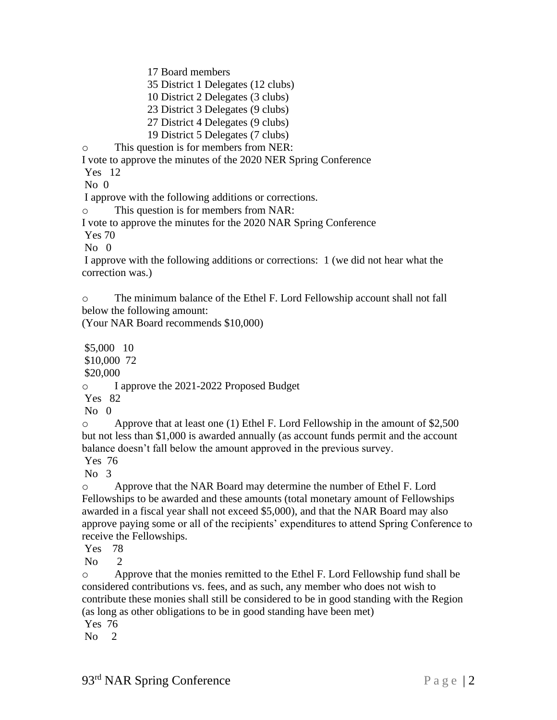17 Board members

35 District 1 Delegates (12 clubs)

10 District 2 Delegates (3 clubs)

23 District 3 Delegates (9 clubs)

27 District 4 Delegates (9 clubs)

19 District 5 Delegates (7 clubs)

o This question is for members from NER:

I vote to approve the minutes of the 2020 NER Spring Conference

Yes 12

 $No$   $0$ 

I approve with the following additions or corrections.

o This question is for members from NAR:

I vote to approve the minutes for the 2020 NAR Spring Conference

Yes 70

 $No$  0

I approve with the following additions or corrections: 1 (we did not hear what the correction was.)

o The minimum balance of the Ethel F. Lord Fellowship account shall not fall below the following amount:

(Your NAR Board recommends \$10,000)

\$5,000 10 \$10,000 72 \$20,000 o I approve the 2021-2022 Proposed Budget Yes 82

 $No$  0

o Approve that at least one (1) Ethel F. Lord Fellowship in the amount of \$2,500 but not less than \$1,000 is awarded annually (as account funds permit and the account balance doesn't fall below the amount approved in the previous survey.

Yes 76

No 3

o Approve that the NAR Board may determine the number of Ethel F. Lord Fellowships to be awarded and these amounts (total monetary amount of Fellowships awarded in a fiscal year shall not exceed \$5,000), and that the NAR Board may also approve paying some or all of the recipients' expenditures to attend Spring Conference to receive the Fellowships.

Yes 78

No 2

o Approve that the monies remitted to the Ethel F. Lord Fellowship fund shall be considered contributions vs. fees, and as such, any member who does not wish to contribute these monies shall still be considered to be in good standing with the Region (as long as other obligations to be in good standing have been met)

Yes 76

 $No<sub>2</sub>$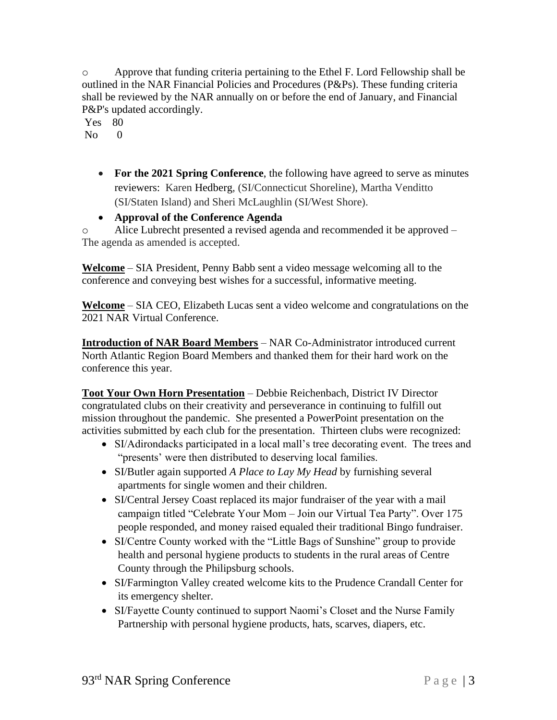o Approve that funding criteria pertaining to the Ethel F. Lord Fellowship shall be outlined in the NAR Financial Policies and Procedures (P&Ps). These funding criteria shall be reviewed by the NAR annually on or before the end of January, and Financial P&P's updated accordingly.

Yes 80

 $N<sub>0</sub>$  0

• **For the 2021 Spring Conference**, the following have agreed to serve as minutes reviewers: Karen Hedberg, (SI/Connecticut Shoreline), Martha Venditto (SI/Staten Island) and Sheri McLaughlin (SI/West Shore).

• **Approval of the Conference Agenda**

o Alice Lubrecht presented a revised agenda and recommended it be approved – The agenda as amended is accepted.

**Welcome** – SIA President, Penny Babb sent a video message welcoming all to the conference and conveying best wishes for a successful, informative meeting.

**Welcome** – SIA CEO, Elizabeth Lucas sent a video welcome and congratulations on the 2021 NAR Virtual Conference.

**Introduction of NAR Board Members** – NAR Co-Administrator introduced current North Atlantic Region Board Members and thanked them for their hard work on the conference this year.

**Toot Your Own Horn Presentation** – Debbie Reichenbach, District IV Director congratulated clubs on their creativity and perseverance in continuing to fulfill out mission throughout the pandemic. She presented a PowerPoint presentation on the activities submitted by each club for the presentation. Thirteen clubs were recognized:

- SI/Adirondacks participated in a local mall's tree decorating event. The trees and "presents' were then distributed to deserving local families.
- SI/Butler again supported *A Place to Lay My Head* by furnishing several apartments for single women and their children.
- SI/Central Jersey Coast replaced its major fundraiser of the year with a mail campaign titled "Celebrate Your Mom – Join our Virtual Tea Party". Over 175 people responded, and money raised equaled their traditional Bingo fundraiser.
- SI/Centre County worked with the "Little Bags of Sunshine" group to provide health and personal hygiene products to students in the rural areas of Centre County through the Philipsburg schools.
- SI/Farmington Valley created welcome kits to the Prudence Crandall Center for its emergency shelter.
- SI/Fayette County continued to support Naomi's Closet and the Nurse Family Partnership with personal hygiene products, hats, scarves, diapers, etc.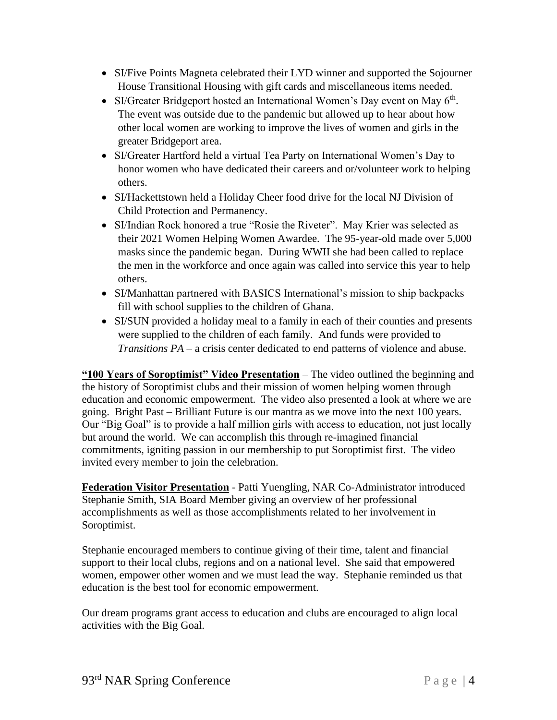- SI/Five Points Magneta celebrated their LYD winner and supported the Sojourner House Transitional Housing with gift cards and miscellaneous items needed.
- SI/Greater Bridgeport hosted an International Women's Day event on May  $6<sup>th</sup>$ . The event was outside due to the pandemic but allowed up to hear about how other local women are working to improve the lives of women and girls in the greater Bridgeport area.
- SI/Greater Hartford held a virtual Tea Party on International Women's Day to honor women who have dedicated their careers and or/volunteer work to helping others.
- SI/Hackettstown held a Holiday Cheer food drive for the local NJ Division of Child Protection and Permanency.
- SI/Indian Rock honored a true "Rosie the Riveter". May Krier was selected as their 2021 Women Helping Women Awardee. The 95-year-old made over 5,000 masks since the pandemic began. During WWII she had been called to replace the men in the workforce and once again was called into service this year to help others.
- SI/Manhattan partnered with BASICS International's mission to ship backpacks fill with school supplies to the children of Ghana.
- SI/SUN provided a holiday meal to a family in each of their counties and presents were supplied to the children of each family. And funds were provided to *Transitions PA* – a crisis center dedicated to end patterns of violence and abuse.

**"100 Years of Soroptimist" Video Presentation** – The video outlined the beginning and the history of Soroptimist clubs and their mission of women helping women through education and economic empowerment. The video also presented a look at where we are going. Bright Past – Brilliant Future is our mantra as we move into the next 100 years. Our "Big Goal" is to provide a half million girls with access to education, not just locally but around the world. We can accomplish this through re-imagined financial commitments, igniting passion in our membership to put Soroptimist first. The video invited every member to join the celebration.

**Federation Visitor Presentation** - Patti Yuengling, NAR Co-Administrator introduced Stephanie Smith, SIA Board Member giving an overview of her professional accomplishments as well as those accomplishments related to her involvement in Soroptimist.

Stephanie encouraged members to continue giving of their time, talent and financial support to their local clubs, regions and on a national level. She said that empowered women, empower other women and we must lead the way. Stephanie reminded us that education is the best tool for economic empowerment.

Our dream programs grant access to education and clubs are encouraged to align local activities with the Big Goal.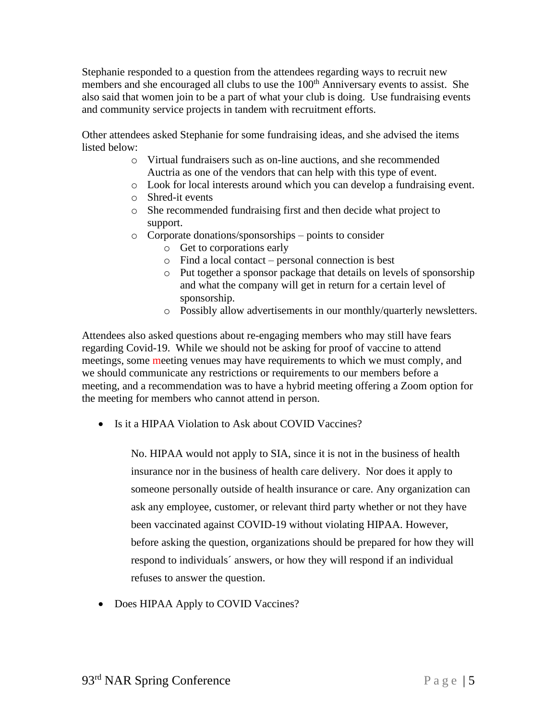Stephanie responded to a question from the attendees regarding ways to recruit new members and she encouraged all clubs to use the 100<sup>th</sup> Anniversary events to assist. She also said that women join to be a part of what your club is doing. Use fundraising events and community service projects in tandem with recruitment efforts.

Other attendees asked Stephanie for some fundraising ideas, and she advised the items listed below:

- o Virtual fundraisers such as on-line auctions, and she recommended Auctria as one of the vendors that can help with this type of event.
- o Look for local interests around which you can develop a fundraising event.
- o Shred-it events
- o She recommended fundraising first and then decide what project to support.
- o Corporate donations/sponsorships points to consider
	- o Get to corporations early
	- o Find a local contact personal connection is best
	- o Put together a sponsor package that details on levels of sponsorship and what the company will get in return for a certain level of sponsorship.
	- o Possibly allow advertisements in our monthly/quarterly newsletters.

Attendees also asked questions about re-engaging members who may still have fears regarding Covid-19. While we should not be asking for proof of vaccine to attend meetings, some meeting venues may have requirements to which we must comply, and we should communicate any restrictions or requirements to our members before a meeting, and a recommendation was to have a hybrid meeting offering a Zoom option for the meeting for members who cannot attend in person.

• Is it a HIPAA Violation to Ask about COVID Vaccines?

No. HIPAA would not apply to SIA, since it is not in the business of health insurance nor in the business of health care delivery. Nor does it apply to someone personally outside of health insurance or care. Any organization can ask any employee, customer, or relevant third party whether or not they have been vaccinated against COVID-19 without violating HIPAA. However, before asking the question, organizations should be prepared for how they will respond to individuals´ answers, or how they will respond if an individual refuses to answer the question.

• Does HIPAA Apply to COVID Vaccines?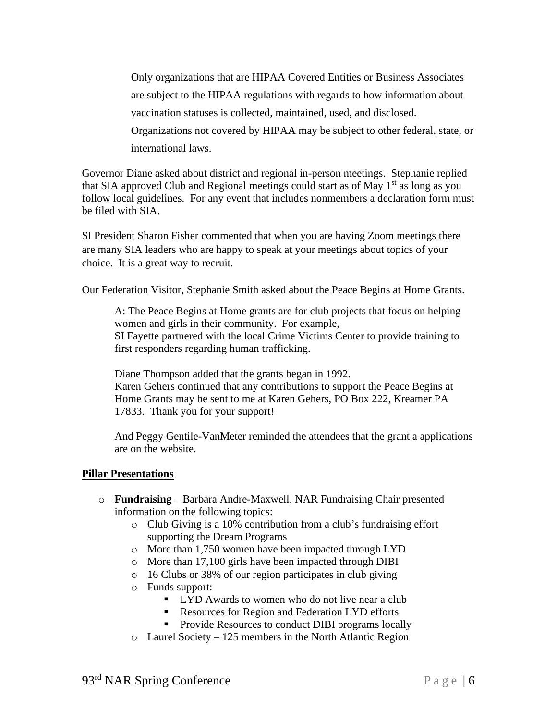Only organizations that are HIPAA Covered Entities or Business Associates are subject to the HIPAA regulations with regards to how information about vaccination statuses is collected, maintained, used, and disclosed. Organizations not covered by HIPAA may be subject to other federal, state, or

international laws.

Governor Diane asked about district and regional in-person meetings. Stephanie replied that SIA approved Club and Regional meetings could start as of May  $1<sup>st</sup>$  as long as you follow local guidelines. For any event that includes nonmembers a declaration form must be filed with SIA.

SI President Sharon Fisher commented that when you are having Zoom meetings there are many SIA leaders who are happy to speak at your meetings about topics of your choice. It is a great way to recruit.

Our Federation Visitor, Stephanie Smith asked about the Peace Begins at Home Grants.

A: The Peace Begins at Home grants are for club projects that focus on helping women and girls in their community. For example, SI Fayette partnered with the local Crime Victims Center to provide training to first responders regarding human trafficking.

Diane Thompson added that the grants began in 1992.

Karen Gehers continued that any contributions to support the Peace Begins at Home Grants may be sent to me at Karen Gehers, PO Box 222, Kreamer PA 17833. Thank you for your support!

And Peggy Gentile-VanMeter reminded the attendees that the grant a applications are on the website.

### **Pillar Presentations**

- o **Fundraising** Barbara Andre-Maxwell, NAR Fundraising Chair presented information on the following topics:
	- o Club Giving is a 10% contribution from a club's fundraising effort supporting the Dream Programs
	- o More than 1,750 women have been impacted through LYD
	- o More than 17,100 girls have been impacted through DIBI
	- o 16 Clubs or 38% of our region participates in club giving
	- o Funds support:
		- LYD Awards to women who do not live near a club
		- Resources for Region and Federation LYD efforts
		- **Provide Resources to conduct DIBI programs locally**
	- o Laurel Society 125 members in the North Atlantic Region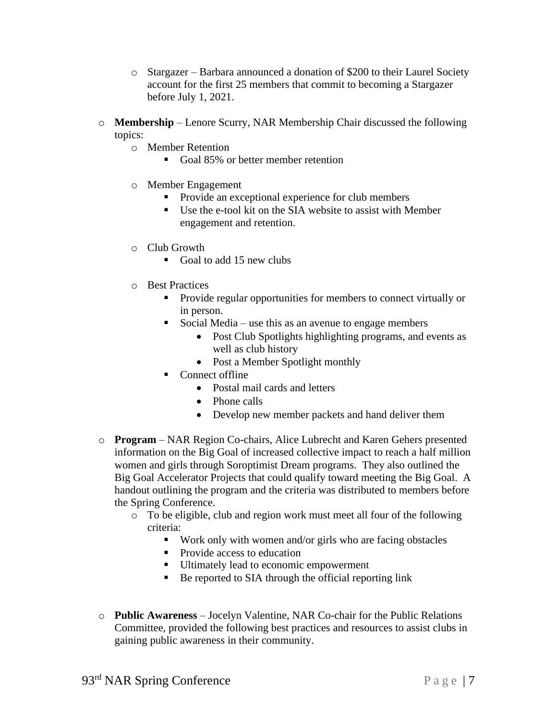- o Stargazer Barbara announced a donation of \$200 to their Laurel Society account for the first 25 members that commit to becoming a Stargazer before July 1, 2021.
- o **Membership** Lenore Scurry, NAR Membership Chair discussed the following topics:
	- o Member Retention
		- Goal 85% or better member retention
	- o Member Engagement
		- Provide an exceptional experience for club members
		- Use the e-tool kit on the SIA website to assist with Member engagement and retention.
	- o Club Growth
		- Goal to add 15 new clubs
	- o Best Practices
		- Provide regular opportunities for members to connect virtually or in person.
		- **•** Social Media use this as an avenue to engage members
			- Post Club Spotlights highlighting programs, and events as well as club history
			- Post a Member Spotlight monthly
		- Connect offline
			- Postal mail cards and letters
			- Phone calls
			- Develop new member packets and hand deliver them
- o **Program** NAR Region Co-chairs, Alice Lubrecht and Karen Gehers presented information on the Big Goal of increased collective impact to reach a half million women and girls through Soroptimist Dream programs. They also outlined the Big Goal Accelerator Projects that could qualify toward meeting the Big Goal. A handout outlining the program and the criteria was distributed to members before the Spring Conference.
	- o To be eligible, club and region work must meet all four of the following criteria:
		- Work only with women and/or girls who are facing obstacles
		- Provide access to education
		- **■** Ultimately lead to economic empowerment
		- Be reported to SIA through the official reporting link
- o **Public Awareness** Jocelyn Valentine, NAR Co-chair for the Public Relations Committee, provided the following best practices and resources to assist clubs in gaining public awareness in their community.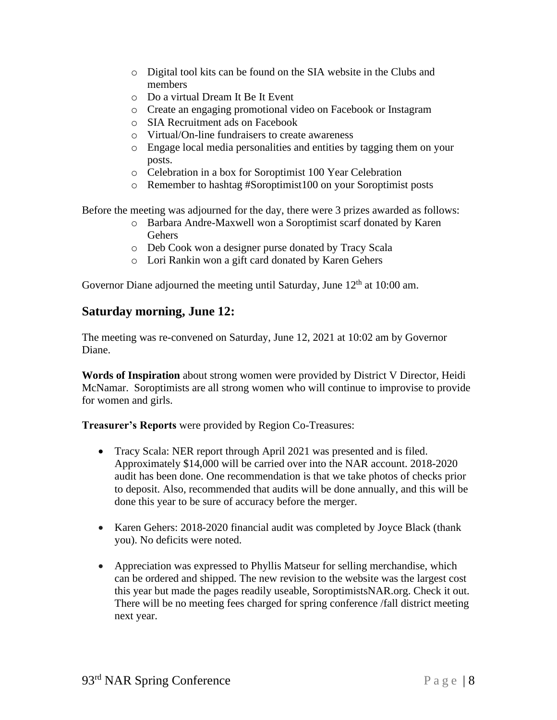- o Digital tool kits can be found on the SIA website in the Clubs and members
- o Do a virtual Dream It Be It Event
- o Create an engaging promotional video on Facebook or Instagram
- o SIA Recruitment ads on Facebook
- o Virtual/On-line fundraisers to create awareness
- o Engage local media personalities and entities by tagging them on your posts.
- o Celebration in a box for Soroptimist 100 Year Celebration
- o Remember to hashtag #Soroptimist100 on your Soroptimist posts

Before the meeting was adjourned for the day, there were 3 prizes awarded as follows:

- o Barbara Andre-Maxwell won a Soroptimist scarf donated by Karen Gehers
- o Deb Cook won a designer purse donated by Tracy Scala
- o Lori Rankin won a gift card donated by Karen Gehers

Governor Diane adjourned the meeting until Saturday, June  $12<sup>th</sup>$  at 10:00 am.

# **Saturday morning, June 12:**

The meeting was re-convened on Saturday, June 12, 2021 at 10:02 am by Governor Diane.

**Words of Inspiration** about strong women were provided by District V Director, Heidi McNamar. Soroptimists are all strong women who will continue to improvise to provide for women and girls.

**Treasurer's Reports** were provided by Region Co-Treasures:

- Tracy Scala: NER report through April 2021 was presented and is filed. Approximately \$14,000 will be carried over into the NAR account. 2018-2020 audit has been done. One recommendation is that we take photos of checks prior to deposit. Also, recommended that audits will be done annually, and this will be done this year to be sure of accuracy before the merger.
- Karen Gehers: 2018-2020 financial audit was completed by Joyce Black (thank you). No deficits were noted.
- Appreciation was expressed to Phyllis Matseur for selling merchandise, which can be ordered and shipped. The new revision to the website was the largest cost this year but made the pages readily useable, SoroptimistsNAR.org. Check it out. There will be no meeting fees charged for spring conference /fall district meeting next year.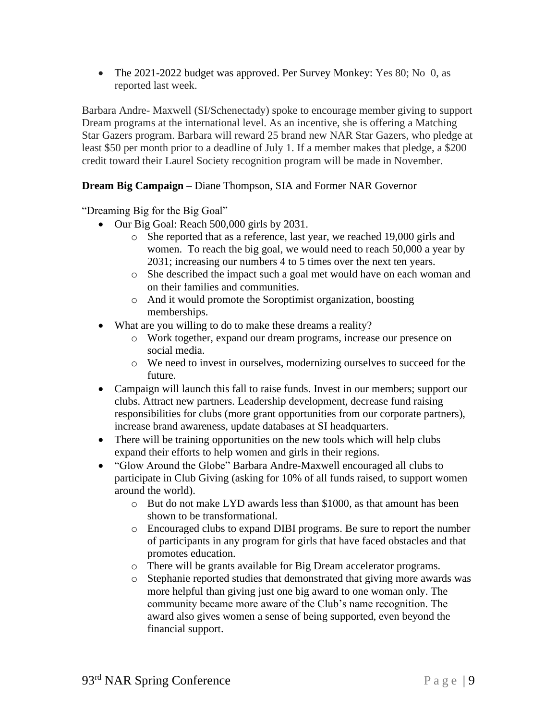• The 2021-2022 budget was approved. Per Survey Monkey: Yes 80; No 0, as reported last week.

Barbara Andre- Maxwell (SI/Schenectady) spoke to encourage member giving to support Dream programs at the international level. As an incentive, she is offering a Matching Star Gazers program. Barbara will reward 25 brand new NAR Star Gazers, who pledge at least \$50 per month prior to a deadline of July 1. If a member makes that pledge, a \$200 credit toward their Laurel Society recognition program will be made in November.

## **Dream Big Campaign** – Diane Thompson, SIA and Former NAR Governor

"Dreaming Big for the Big Goal"

- Our Big Goal: Reach 500,000 girls by 2031.
	- o She reported that as a reference, last year, we reached 19,000 girls and women. To reach the big goal, we would need to reach 50,000 a year by 2031; increasing our numbers 4 to 5 times over the next ten years.
	- o She described the impact such a goal met would have on each woman and on their families and communities.
	- o And it would promote the Soroptimist organization, boosting memberships.
- What are you willing to do to make these dreams a reality?
	- o Work together, expand our dream programs, increase our presence on social media.
	- o We need to invest in ourselves, modernizing ourselves to succeed for the future.
- Campaign will launch this fall to raise funds. Invest in our members; support our clubs. Attract new partners. Leadership development, decrease fund raising responsibilities for clubs (more grant opportunities from our corporate partners), increase brand awareness, update databases at SI headquarters.
- There will be training opportunities on the new tools which will help clubs expand their efforts to help women and girls in their regions.
- "Glow Around the Globe" Barbara Andre-Maxwell encouraged all clubs to participate in Club Giving (asking for 10% of all funds raised, to support women around the world).
	- o But do not make LYD awards less than \$1000, as that amount has been shown to be transformational.
	- o Encouraged clubs to expand DIBI programs. Be sure to report the number of participants in any program for girls that have faced obstacles and that promotes education.
	- o There will be grants available for Big Dream accelerator programs.
	- o Stephanie reported studies that demonstrated that giving more awards was more helpful than giving just one big award to one woman only. The community became more aware of the Club's name recognition. The award also gives women a sense of being supported, even beyond the financial support.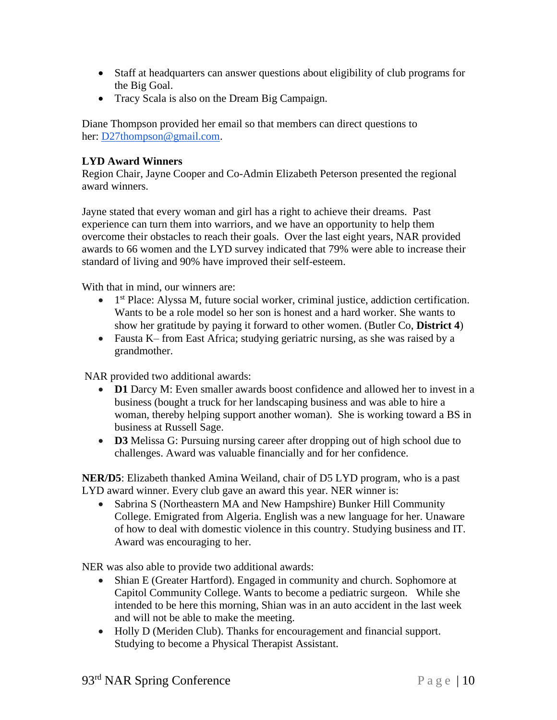- Staff at headquarters can answer questions about eligibility of club programs for the Big Goal.
- Tracy Scala is also on the Dream Big Campaign.

Diane Thompson provided her email so that members can direct questions to her: [D27thompson@gmail.com.](mailto:D27thompson@gmail.com)

## **LYD Award Winners**

Region Chair, Jayne Cooper and Co-Admin Elizabeth Peterson presented the regional award winners.

Jayne stated that every woman and girl has a right to achieve their dreams. Past experience can turn them into warriors, and we have an opportunity to help them overcome their obstacles to reach their goals. Over the last eight years, NAR provided awards to 66 women and the LYD survey indicated that 79% were able to increase their standard of living and 90% have improved their self-esteem.

With that in mind, our winners are:

- 1<sup>st</sup> Place: Alyssa M, future social worker, criminal justice, addiction certification. Wants to be a role model so her son is honest and a hard worker. She wants to show her gratitude by paying it forward to other women. (Butler Co, **District 4**)
- Fausta K– from East Africa; studying geriatric nursing, as she was raised by a grandmother.

NAR provided two additional awards:

- **D1** Darcy M: Even smaller awards boost confidence and allowed her to invest in a business (bought a truck for her landscaping business and was able to hire a woman, thereby helping support another woman). She is working toward a BS in business at Russell Sage.
- **D3** Melissa G: Pursuing nursing career after dropping out of high school due to challenges. Award was valuable financially and for her confidence.

**NER/D5**: Elizabeth thanked Amina Weiland, chair of D5 LYD program, who is a past LYD award winner. Every club gave an award this year. NER winner is:

• Sabrina S (Northeastern MA and New Hampshire) Bunker Hill Community College. Emigrated from Algeria. English was a new language for her. Unaware of how to deal with domestic violence in this country. Studying business and IT. Award was encouraging to her.

NER was also able to provide two additional awards:

- Shian E (Greater Hartford). Engaged in community and church. Sophomore at Capitol Community College. Wants to become a pediatric surgeon. While she intended to be here this morning, Shian was in an auto accident in the last week and will not be able to make the meeting.
- Holly D (Meriden Club). Thanks for encouragement and financial support. Studying to become a Physical Therapist Assistant.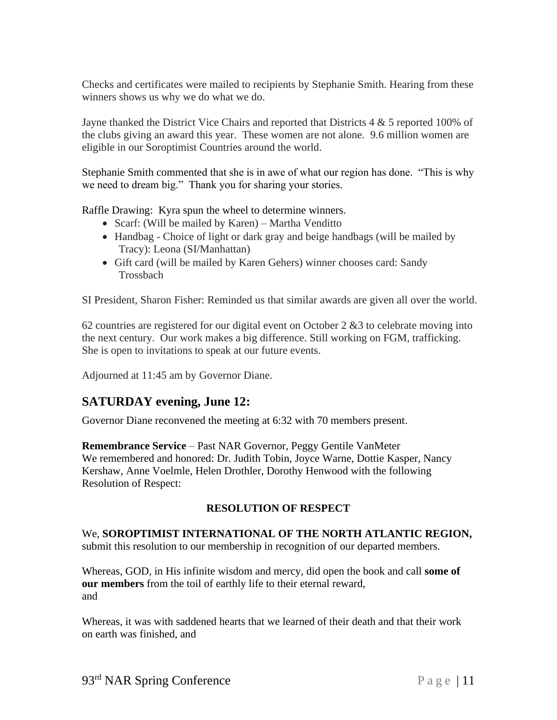Checks and certificates were mailed to recipients by Stephanie Smith. Hearing from these winners shows us why we do what we do.

Jayne thanked the District Vice Chairs and reported that Districts 4 & 5 reported 100% of the clubs giving an award this year. These women are not alone. 9.6 million women are eligible in our Soroptimist Countries around the world.

Stephanie Smith commented that she is in awe of what our region has done. "This is why we need to dream big." Thank you for sharing your stories.

Raffle Drawing: Kyra spun the wheel to determine winners.

- Scarf: (Will be mailed by Karen) Martha Venditto
- Handbag Choice of light or dark gray and beige handbags (will be mailed by Tracy): Leona (SI/Manhattan)
- Gift card (will be mailed by Karen Gehers) winner chooses card: Sandy Trossbach

SI President, Sharon Fisher: Reminded us that similar awards are given all over the world.

62 countries are registered for our digital event on October 2 &3 to celebrate moving into the next century. Our work makes a big difference. Still working on FGM, trafficking. She is open to invitations to speak at our future events.

Adjourned at 11:45 am by Governor Diane.

# **SATURDAY evening, June 12:**

Governor Diane reconvened the meeting at 6:32 with 70 members present.

**Remembrance Service** – Past NAR Governor, Peggy Gentile VanMeter We remembered and honored: Dr. Judith Tobin, Joyce Warne, Dottie Kasper, Nancy Kershaw, Anne Voelmle, Helen Drothler, Dorothy Henwood with the following Resolution of Respect:

## **RESOLUTION OF RESPECT**

#### We, **SOROPTIMIST INTERNATIONAL OF THE NORTH ATLANTIC REGION,**  submit this resolution to our membership in recognition of our departed members.

Whereas, GOD, in His infinite wisdom and mercy, did open the book and call **some of our members** from the toil of earthly life to their eternal reward, and

Whereas, it was with saddened hearts that we learned of their death and that their work on earth was finished, and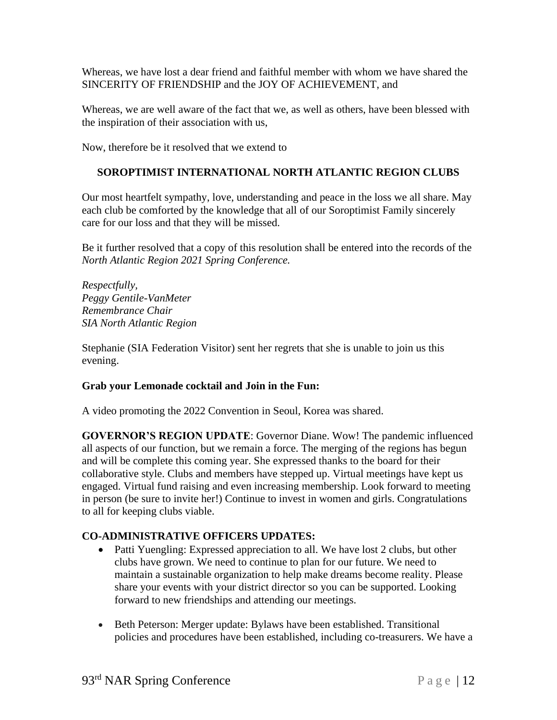Whereas, we have lost a dear friend and faithful member with whom we have shared the SINCERITY OF FRIENDSHIP and the JOY OF ACHIEVEMENT, and

Whereas, we are well aware of the fact that we, as well as others, have been blessed with the inspiration of their association with us,

Now, therefore be it resolved that we extend to

## **SOROPTIMIST INTERNATIONAL NORTH ATLANTIC REGION CLUBS**

Our most heartfelt sympathy, love, understanding and peace in the loss we all share. May each club be comforted by the knowledge that all of our Soroptimist Family sincerely care for our loss and that they will be missed.

Be it further resolved that a copy of this resolution shall be entered into the records of the *North Atlantic Region 2021 Spring Conference.*

*Respectfully, Peggy Gentile-VanMeter Remembrance Chair SIA North Atlantic Region*

Stephanie (SIA Federation Visitor) sent her regrets that she is unable to join us this evening.

### **Grab your Lemonade cocktail and Join in the Fun:**

A video promoting the 2022 Convention in Seoul, Korea was shared.

**GOVERNOR'S REGION UPDATE**: Governor Diane. Wow! The pandemic influenced all aspects of our function, but we remain a force. The merging of the regions has begun and will be complete this coming year. She expressed thanks to the board for their collaborative style. Clubs and members have stepped up. Virtual meetings have kept us engaged. Virtual fund raising and even increasing membership. Look forward to meeting in person (be sure to invite her!) Continue to invest in women and girls. Congratulations to all for keeping clubs viable.

### **CO-ADMINISTRATIVE OFFICERS UPDATES:**

- Patti Yuengling: Expressed appreciation to all. We have lost 2 clubs, but other clubs have grown. We need to continue to plan for our future. We need to maintain a sustainable organization to help make dreams become reality. Please share your events with your district director so you can be supported. Looking forward to new friendships and attending our meetings.
- Beth Peterson: Merger update: Bylaws have been established. Transitional policies and procedures have been established, including co-treasurers. We have a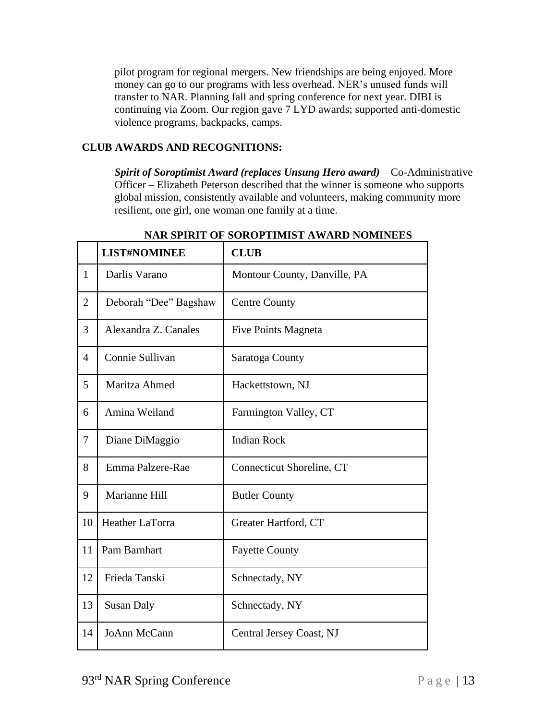pilot program for regional mergers. New friendships are being enjoyed. More money can go to our programs with less overhead. NER's unused funds will transfer to NAR. Planning fall and spring conference for next year. DIBI is continuing via Zoom. Our region gave 7 LYD awards; supported anti-domestic violence programs, backpacks, camps.

## **CLUB AWARDS AND RECOGNITIONS:**

*Spirit of Soroptimist Award (replaces Unsung Hero award)* – Co-Administrative Officer – Elizabeth Peterson described that the winner is someone who supports global mission, consistently available and volunteers, making community more resilient, one girl, one woman one family at a time.

|                | <b>LIST#NOMINEE</b>   | <b>CLUB</b>                  |
|----------------|-----------------------|------------------------------|
| $\mathbf{1}$   | Darlis Varano         | Montour County, Danville, PA |
| $\overline{2}$ | Deborah "Dee" Bagshaw | <b>Centre County</b>         |
| 3              | Alexandra Z. Canales  | Five Points Magneta          |
| $\overline{4}$ | Connie Sullivan       | Saratoga County              |
| 5              | Maritza Ahmed         | Hackettstown, NJ             |
| 6              | Amina Weiland         | Farmington Valley, CT        |
| 7              | Diane DiMaggio        | <b>Indian Rock</b>           |
| 8              | Emma Palzere-Rae      | Connecticut Shoreline, CT    |
| 9              | Marianne Hill         | <b>Butler County</b>         |
| 10             | Heather LaTorra       | Greater Hartford, CT         |
| 11             | Pam Barnhart          | <b>Fayette County</b>        |
| 12             | Frieda Tanski         | Schnectady, NY               |
| 13             | <b>Susan Daly</b>     | Schnectady, NY               |
| 14             | JoAnn McCann          | Central Jersey Coast, NJ     |

## **NAR SPIRIT OF SOROPTIMIST AWARD NOMINEES**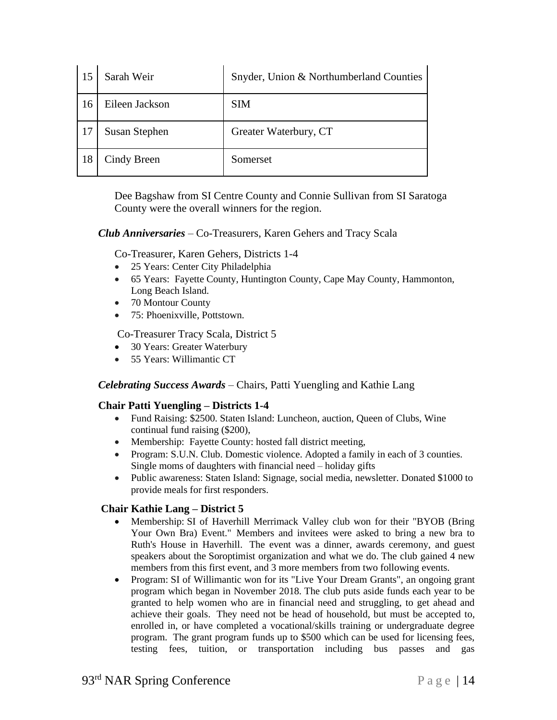|    | Sarah Weir     | Snyder, Union & Northumberland Counties |
|----|----------------|-----------------------------------------|
| 16 | Eileen Jackson | <b>SIM</b>                              |
|    | Susan Stephen  | Greater Waterbury, CT                   |
| 18 | Cindy Breen    | Somerset                                |

Dee Bagshaw from SI Centre County and Connie Sullivan from SI Saratoga County were the overall winners for the region.

*Club Anniversaries* – Co-Treasurers, Karen Gehers and Tracy Scala

Co-Treasurer, Karen Gehers, Districts 1-4

- 25 Years: Center City Philadelphia
- 65 Years: Fayette County, Huntington County, Cape May County, Hammonton, Long Beach Island.
- 70 Montour County
- 75: Phoenixville, Pottstown.

Co-Treasurer Tracy Scala, District 5

- 30 Years: Greater Waterbury
- 55 Years: Willimantic CT

#### *Celebrating Success Awards* – Chairs, Patti Yuengling and Kathie Lang

#### **Chair Patti Yuengling – Districts 1-4**

- Fund Raising: \$2500. Staten Island: Luncheon, auction, Queen of Clubs, Wine continual fund raising (\$200),
- Membership: Fayette County: hosted fall district meeting,
- Program: S.U.N. Club. Domestic violence. Adopted a family in each of 3 counties. Single moms of daughters with financial need – holiday gifts
- Public awareness: Staten Island: Signage, social media, newsletter. Donated \$1000 to provide meals for first responders.

#### **Chair Kathie Lang – District 5**

- Membership: SI of Haverhill Merrimack Valley club won for their "BYOB (Bring Your Own Bra) Event." Members and invitees were asked to bring a new bra to Ruth's House in Haverhill. The event was a dinner, awards ceremony, and guest speakers about the Soroptimist organization and what we do. The club gained 4 new members from this first event, and 3 more members from two following events.
- Program: SI of Willimantic won for its "Live Your Dream Grants", an ongoing grant program which began in November 2018. The club puts aside funds each year to be granted to help women who are in financial need and struggling, to get ahead and achieve their goals. They need not be head of household, but must be accepted to, enrolled in, or have completed a vocational/skills training or undergraduate degree program. The grant program funds up to \$500 which can be used for licensing fees, testing fees, tuition, or transportation including bus passes and gas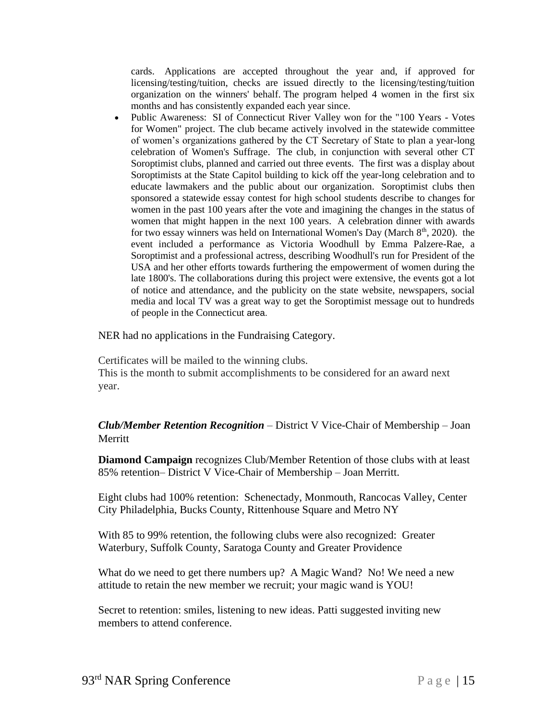cards. Applications are accepted throughout the year and, if approved for licensing/testing/tuition, checks are issued directly to the licensing/testing/tuition organization on the winners' behalf. The program helped 4 women in the first six months and has consistently expanded each year since.

• Public Awareness: SI of Connecticut River Valley won for the "100 Years - Votes" for Women" project. The club became actively involved in the statewide committee of women's organizations gathered by the CT Secretary of State to plan a year-long celebration of Women's Suffrage. The club, in conjunction with several other CT Soroptimist clubs, planned and carried out three events. The first was a display about Soroptimists at the State Capitol building to kick off the year-long celebration and to educate lawmakers and the public about our organization. Soroptimist clubs then sponsored a statewide essay contest for high school students describe to changes for women in the past 100 years after the vote and imagining the changes in the status of women that might happen in the next 100 years. A celebration dinner with awards for two essay winners was held on International Women's Day (March 8<sup>th</sup>, 2020). the event included a performance as Victoria Woodhull by Emma Palzere-Rae, a Soroptimist and a professional actress, describing Woodhull's run for President of the USA and her other efforts towards furthering the empowerment of women during the late 1800's. The collaborations during this project were extensive, the events got a lot of notice and attendance, and the publicity on the state website, newspapers, social media and local TV was a great way to get the Soroptimist message out to hundreds of people in the Connecticut area.

NER had no applications in the Fundraising Category.

Certificates will be mailed to the winning clubs.

This is the month to submit accomplishments to be considered for an award next year.

*Club/Member Retention Recognition* – District V Vice-Chair of Membership – Joan **Merritt** 

**Diamond Campaign** recognizes Club/Member Retention of those clubs with at least 85% retention– District V Vice-Chair of Membership – Joan Merritt.

Eight clubs had 100% retention: Schenectady, Monmouth, Rancocas Valley, Center City Philadelphia, Bucks County, Rittenhouse Square and Metro NY

With 85 to 99% retention, the following clubs were also recognized: Greater Waterbury, Suffolk County, Saratoga County and Greater Providence

What do we need to get there numbers up? A Magic Wand? No! We need a new attitude to retain the new member we recruit; your magic wand is YOU!

Secret to retention: smiles, listening to new ideas. Patti suggested inviting new members to attend conference.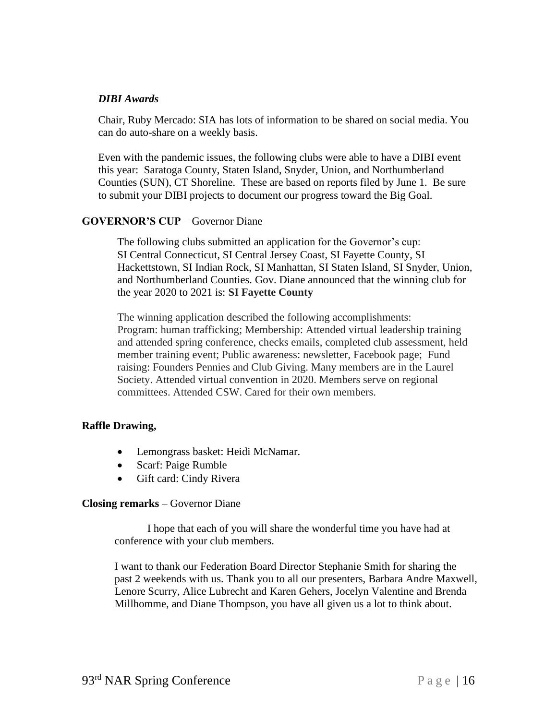#### *DIBI Awards*

Chair, Ruby Mercado: SIA has lots of information to be shared on social media. You can do auto-share on a weekly basis.

Even with the pandemic issues, the following clubs were able to have a DIBI event this year: Saratoga County, Staten Island, Snyder, Union, and Northumberland Counties (SUN), CT Shoreline. These are based on reports filed by June 1. Be sure to submit your DIBI projects to document our progress toward the Big Goal.

#### **GOVERNOR'S CUP** – Governor Diane

The following clubs submitted an application for the Governor's cup: SI Central Connecticut, SI Central Jersey Coast, SI Fayette County, SI Hackettstown, SI Indian Rock, SI Manhattan, SI Staten Island, SI Snyder, Union, and Northumberland Counties. Gov. Diane announced that the winning club for the year 2020 to 2021 is: **SI Fayette County**

The winning application described the following accomplishments: Program: human trafficking; Membership: Attended virtual leadership training and attended spring conference, checks emails, completed club assessment, held member training event; Public awareness: newsletter, Facebook page; Fund raising: Founders Pennies and Club Giving. Many members are in the Laurel Society. Attended virtual convention in 2020. Members serve on regional committees. Attended CSW. Cared for their own members.

### **Raffle Drawing,**

- Lemongrass basket: Heidi McNamar.
- Scarf: Paige Rumble
- Gift card: Cindy Rivera

#### **Closing remarks** – Governor Diane

I hope that each of you will share the wonderful time you have had at conference with your club members.

I want to thank our Federation Board Director Stephanie Smith for sharing the past 2 weekends with us. Thank you to all our presenters, Barbara Andre Maxwell, Lenore Scurry, Alice Lubrecht and Karen Gehers, Jocelyn Valentine and Brenda Millhomme, and Diane Thompson, you have all given us a lot to think about.